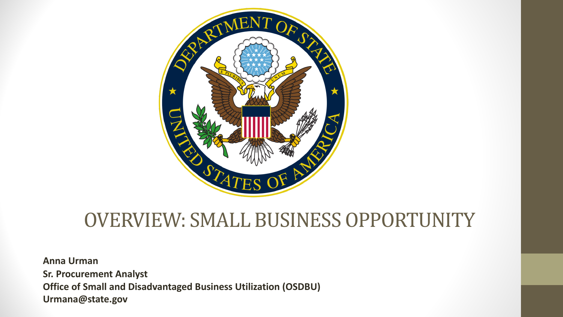

#### OVERVIEW: SMALL BUSINESS OPPORTUNITY

**Anna Urman Sr. Procurement Analyst Office of Small and Disadvantaged Business Utilization (OSDBU) Urmana@state.gov**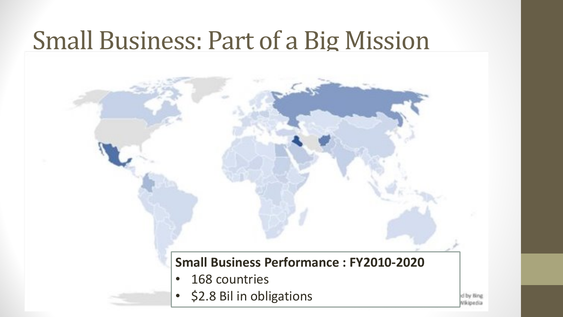## **Small Business: Part of a Big Mission**

#### **Small Business Performance : FY2010-2020**

- 168 countries
- \$2.8 Bil in obligations

d by Bing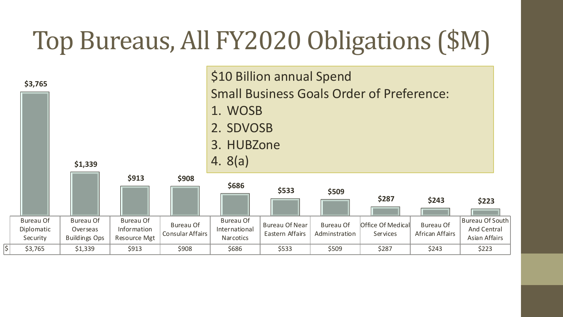# Top Bureaus, All FY2020 Obligations (\$M)

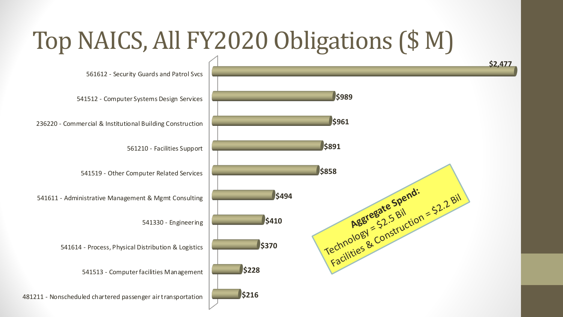### Top NAICS, All FY2020 Obligations (\$ M)

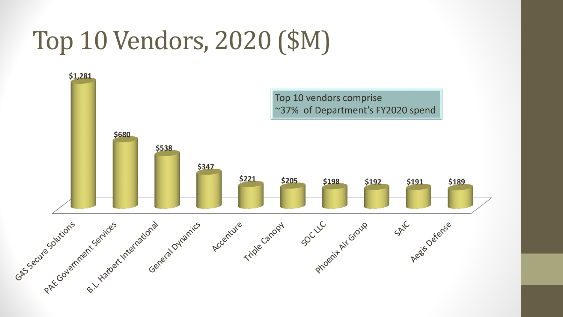# Top 10 Vendors, 2020 (\$M)

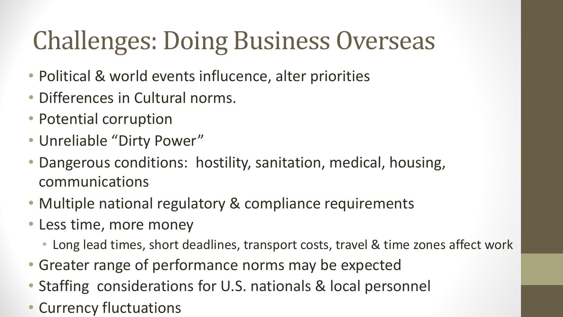# **Challenges: Doing Business Overseas**

- Political & world events influcence, alter priorities
- Differences in Cultural norms.
- Potential corruption
- Unreliable "Dirty Power"
- Dangerous conditions: hostility, sanitation, medical, housing, communications
- Multiple national regulatory & compliance requirements
- Less time, more money
	- Long lead times, short deadlines, transport costs, travel & time zones affect work
- Greater range of performance norms may be expected
- Staffing considerations for U.S. nationals & local personnel
- Currency fluctuations